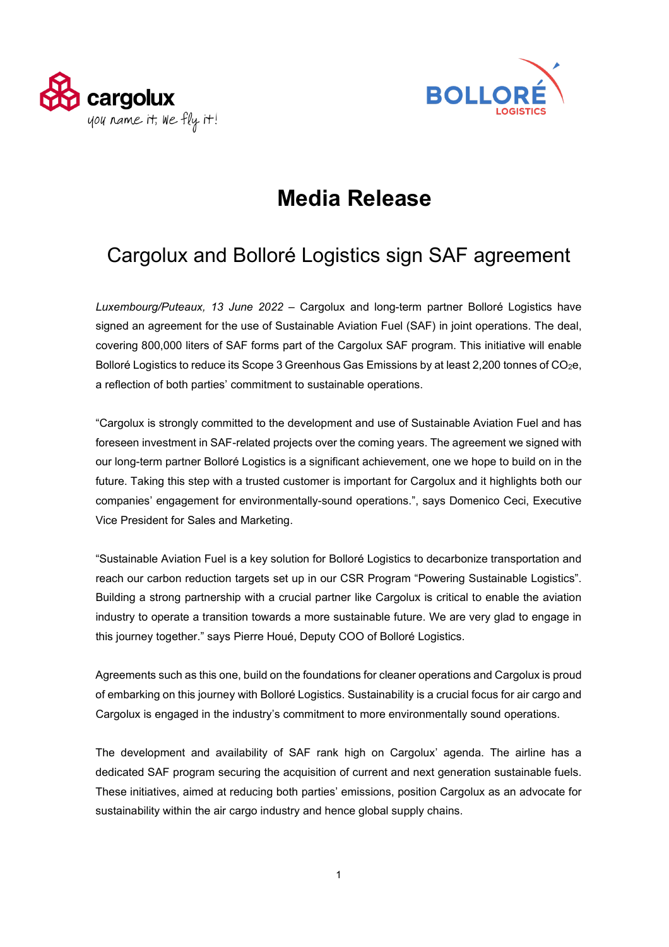



# **Media Release**

## Cargolux and Bolloré Logistics sign SAF agreement

*Luxembourg/Puteaux, 13 June 2022* – Cargolux and long-term partner Bolloré Logistics have signed an agreement for the use of Sustainable Aviation Fuel (SAF) in joint operations. The deal, covering 800,000 liters of SAF forms part of the Cargolux SAF program. This initiative will enable Bolloré Logistics to reduce its Scope 3 Greenhous Gas Emissions by at least 2,200 tonnes of CO<sub>2</sub>e, a reflection of both parties' commitment to sustainable operations.

"Cargolux is strongly committed to the development and use of Sustainable Aviation Fuel and has foreseen investment in SAF-related projects over the coming years. The agreement we signed with our long-term partner Bolloré Logistics is a significant achievement, one we hope to build on in the future. Taking this step with a trusted customer is important for Cargolux and it highlights both our companies' engagement for environmentally-sound operations.", says Domenico Ceci, Executive Vice President for Sales and Marketing.

"Sustainable Aviation Fuel is a key solution for Bolloré Logistics to decarbonize transportation and reach our carbon reduction targets set up in our CSR Program "Powering Sustainable Logistics". Building a strong partnership with a crucial partner like Cargolux is critical to enable the aviation industry to operate a transition towards a more sustainable future. We are very glad to engage in this journey together." says Pierre Houé, Deputy COO of Bolloré Logistics.

Agreements such as this one, build on the foundations for cleaner operations and Cargolux is proud of embarking on this journey with Bolloré Logistics. Sustainability is a crucial focus for air cargo and Cargolux is engaged in the industry's commitment to more environmentally sound operations.

The development and availability of SAF rank high on Cargolux' agenda. The airline has a dedicated SAF program securing the acquisition of current and next generation sustainable fuels. These initiatives, aimed at reducing both parties' emissions, position Cargolux as an advocate for sustainability within the air cargo industry and hence global supply chains.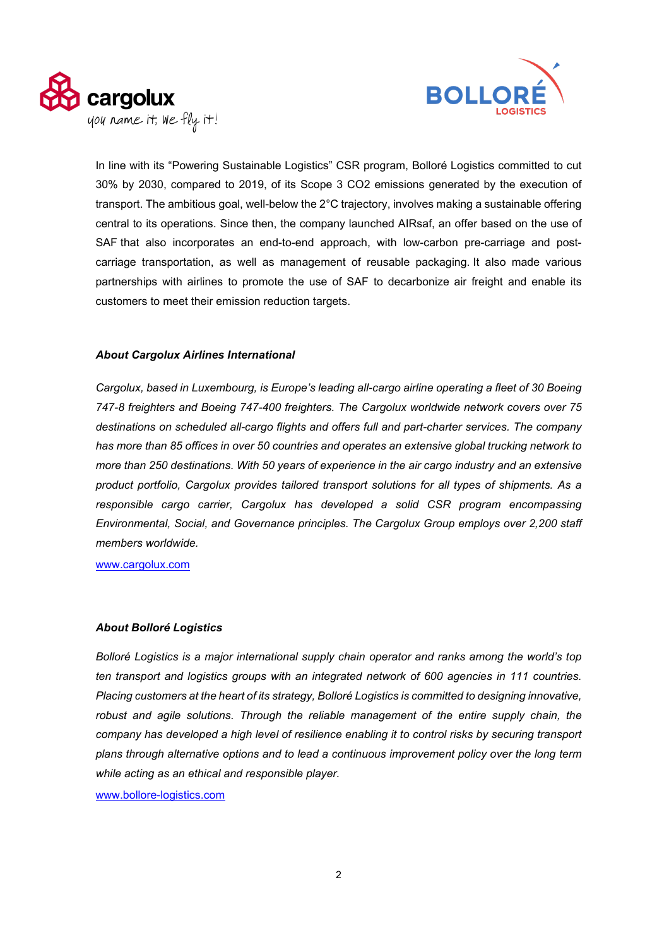



In line with its "Powering Sustainable Logistics" CSR program, Bolloré Logistics committed to cut 30% by 2030, compared to 2019, of its Scope 3 CO2 emissions generated by the execution of transport. The ambitious goal, well-below the 2°C trajectory, involves making a sustainable offering central to its operations. Since then, the company launched AIRsaf, an offer based on the use of SAF that also incorporates an end-to-end approach, with low-carbon pre-carriage and postcarriage transportation, as well as management of reusable packaging. It also made various partnerships with airlines to promote the use of SAF to decarbonize air freight and enable its customers to meet their emission reduction targets.

#### *About Cargolux Airlines International*

*Cargolux, based in Luxembourg, is Europe's leading all-cargo airline operating a fleet of 30 Boeing 747-8 freighters and Boeing 747-400 freighters. The Cargolux worldwide network covers over 75 destinations on scheduled all-cargo flights and offers full and part-charter services. The company has more than 85 offices in over 50 countries and operates an extensive global trucking network to more than 250 destinations. With 50 years of experience in the air cargo industry and an extensive product portfolio, Cargolux provides tailored transport solutions for all types of shipments. As a responsible cargo carrier, Cargolux has developed a solid CSR program encompassing Environmental, Social, and Governance principles. The Cargolux Group employs over 2,200 staff members worldwide.*

www.cargolux.com

#### *About Bolloré Logistics*

*Bolloré Logistics is a major international supply chain operator and ranks among the world's top ten transport and logistics groups with an integrated network of 600 agencies in 111 countries. Placing customers at the heart of its strategy, Bolloré Logistics is committed to designing innovative,*  robust and agile solutions. Through the reliable management of the entire supply chain, the *company has developed a high level of resilience enabling it to control risks by securing transport plans through alternative options and to lead a continuous improvement policy over the long term while acting as an ethical and responsible player.* 

[www.bollore-logistics.com](http://www.bollore-logistics.com/)